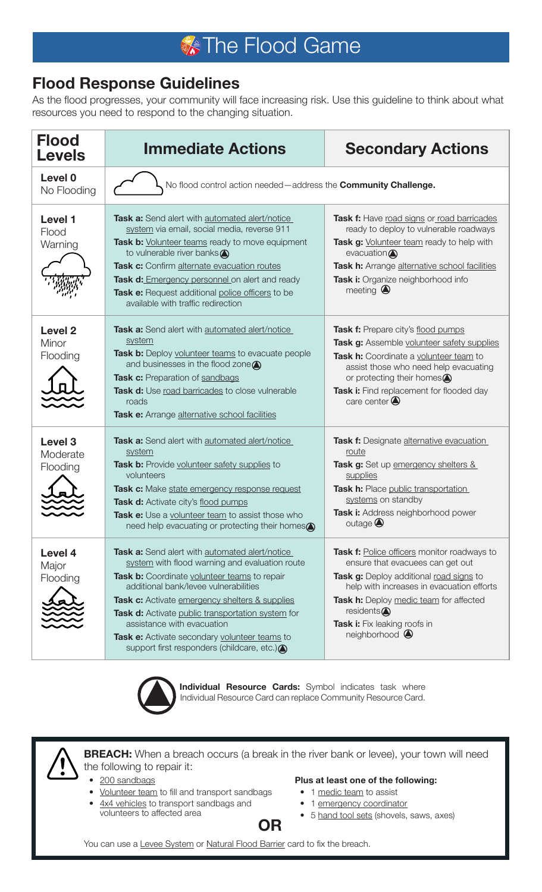## **X** The Flood Game

## **Flood Response Guidelines**

As the flood progresses, your community will face increasing risk. Use this guideline to think about what resources you need to respond to the changing situation.

| <b>Flood</b><br><b>Levels</b>              | <b>Immediate Actions</b>                                                                                                                                                                                                                                                                                                                                                                                                              | <b>Secondary Actions</b>                                                                                                                                                                                                                                                                         |
|--------------------------------------------|---------------------------------------------------------------------------------------------------------------------------------------------------------------------------------------------------------------------------------------------------------------------------------------------------------------------------------------------------------------------------------------------------------------------------------------|--------------------------------------------------------------------------------------------------------------------------------------------------------------------------------------------------------------------------------------------------------------------------------------------------|
| Level 0<br>No Flooding                     | No flood control action needed-address the Community Challenge.                                                                                                                                                                                                                                                                                                                                                                       |                                                                                                                                                                                                                                                                                                  |
| Level 1<br>Flood<br>Warning                | Task a: Send alert with automated alert/notice<br>system via email, social media, reverse 911<br>Task b: Volunteer teams ready to move equipment<br>to vulnerable river banks<br>Task c: Confirm alternate evacuation routes<br>Task d: Emergency personnel on alert and ready<br>Task e: Request additional police officers to be<br>available with traffic redirection                                                              | Task f: Have road signs or road barricades<br>ready to deploy to vulnerable roadways<br>Task g: Volunteer team ready to help with<br>evacuation $\bigcirc$<br>Task h: Arrange alternative school facilities<br>Task i: Organize neighborhood info<br>meeting $\bigcirc$                          |
| <b>Level 2</b><br>Minor<br>Flooding        | Task a: Send alert with automated alert/notice<br>system<br>Task b: Deploy volunteer teams to evacuate people<br>and businesses in the flood zone $\bigcirc$<br>Task c: Preparation of sandbags<br>Task d: Use road barricades to close vulnerable<br>roads<br>Task e: Arrange alternative school facilities                                                                                                                          | Task f: Prepare city's flood pumps<br>Task g: Assemble volunteer safety supplies<br>Task h: Coordinate a volunteer team to<br>assist those who need help evacuating<br>or protecting their homes<br>Task i: Find replacement for flooded day<br>care center $\bigcirc$                           |
| Level <sub>3</sub><br>Moderate<br>Flooding | Task a: Send alert with automated alert/notice<br>system<br>Task b: Provide volunteer safety supplies to<br>volunteers<br>Task c: Make state emergency response request<br>Task d: Activate city's flood pumps<br>Task e: Use a volunteer team to assist those who<br>need help evacuating or protecting their homes $\bigcirc$                                                                                                       | Task f: Designate alternative evacuation<br>route<br>Task g: Set up emergency shelters &<br>supplies<br>Task h: Place public transportation<br>systems on standby<br>Task i: Address neighborhood power<br>$outage \bigcirc$                                                                     |
| Level 4<br>Major<br>Flooding               | Task a: Send alert with automated alert/notice<br>system with flood warning and evaluation route<br>Task b: Coordinate volunteer teams to repair<br>additional bank/levee vulnerabilities<br>Task c: Activate emergency shelters & supplies<br>Task d: Activate public transportation system for<br>assistance with evacuation<br>Task e: Activate secondary volunteer teams to<br>support first responders (childcare, etc.) <a></a> | <b>Task f:</b> Police officers monitor roadways to<br>ensure that evacuees can get out<br>Task g: Deploy additional road signs to<br>help with increases in evacuation efforts<br>Task h: Deploy medic team for affected<br>residents<br>Task i: Fix leaking roofs in<br>neighborhood $\bigcirc$ |



**Individual Resource Cards:** Symbol indicates task where Individual Resource Card can replace Community Resource Card.



**BREACH:** When a breach occurs (a break in the river bank or levee), your town will need the following to repair it:

- 200 sandbags
- Volunteer team to fill and transport sandbags
- $4x4$  vehicles to transport sandbags and volunteers to affected area **OR**

## **Plus at least one of the following:**

- 1 medic team to assist
- 1 emergency coordinator
- 5 hand tool sets (shovels, saws, axes)

You can use a Levee System or Natural Flood Barrier card to fix the breach.